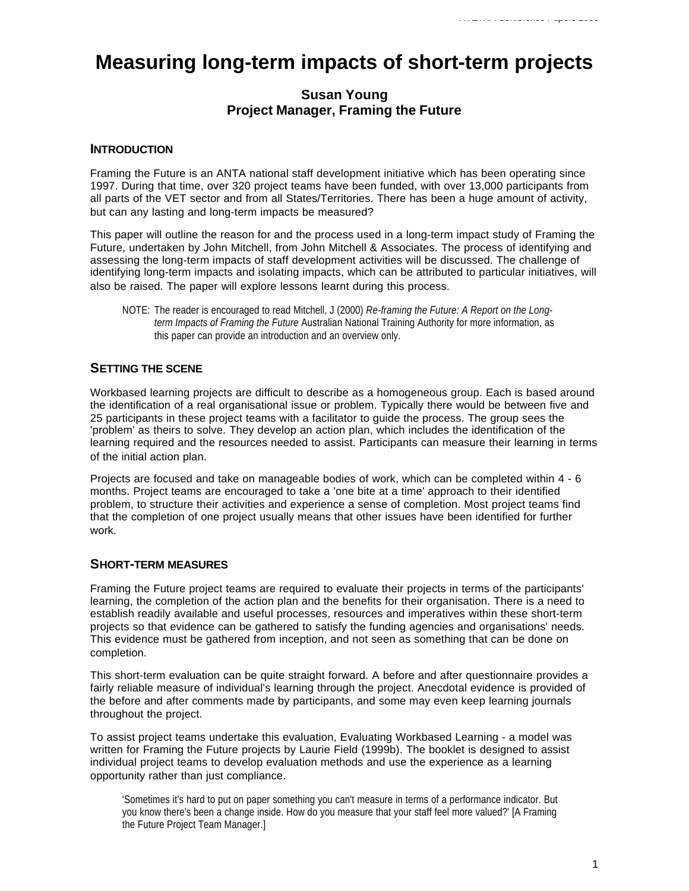# **Measuring long-term impacts of short-term projects**

# **Susan Young Project Manager, Framing the Future**

## **INTRODUCTION**

Framing the Future is an ANTA national staff development initiative which has been operating since 1997. During that time, over 320 project teams have been funded, with over 13,000 participants from all parts of the VET sector and from all States/Territories. There has been a huge amount of activity, but can any lasting and long-term impacts be measured?

This paper will outline the reason for and the process used in a long-term impact study of Framing the Future, undertaken by John Mitchell, from John Mitchell & Associates. The process of identifying and assessing the long-term impacts of staff development activities will be discussed. The challenge of identifying long-term impacts and isolating impacts, which can be attributed to particular initiatives, will also be raised. The paper will explore lessons learnt during this process.

NOTE: The reader is encouraged to read Mitchell, J (2000) *Re-framing the Future: A Report on the Longterm Impacts of Framing the Future* Australian National Training Authority for more information, as this paper can provide an introduction and an overview only.

# **SETTING THE SCENE**

Workbased learning projects are difficult to describe as a homogeneous group. Each is based around the identification of a real organisational issue or problem. Typically there would be between five and 25 participants in these project teams with a facilitator to guide the process. The group sees the 'problem' as theirs to solve. They develop an action plan, which includes the identification of the learning required and the resources needed to assist. Participants can measure their learning in terms of the initial action plan.

Projects are focused and take on manageable bodies of work, which can be completed within 4 - 6 months. Project teams are encouraged to take a 'one bite at a time' approach to their identified problem, to structure their activities and experience a sense of completion. Most project teams find that the completion of one project usually means that other issues have been identified for further work.

### **SHORT-TERM MEASURES**

Framing the Future project teams are required to evaluate their projects in terms of the participants' learning, the completion of the action plan and the benefits for their organisation. There is a need to establish readily available and useful processes, resources and imperatives within these short-term projects so that evidence can be gathered to satisfy the funding agencies and organisations' needs. This evidence must be gathered from inception, and not seen as something that can be done on completion.

This short-term evaluation can be quite straight forward. A before and after questionnaire provides a fairly reliable measure of individual's learning through the project. Anecdotal evidence is provided of the before and after comments made by participants, and some may even keep learning journals throughout the project.

To assist project teams undertake this evaluation, Evaluating Workbased Learning - a model was written for Framing the Future projects by Laurie Field (1999b). The booklet is designed to assist individual project teams to develop evaluation methods and use the experience as a learning opportunity rather than just compliance.

'Sometimes it's hard to put on paper something you can't measure in terms of a performance indicator. But you know there's been a change inside. How do you measure that your staff feel more valued?' [A Framing the Future Project Team Manager.]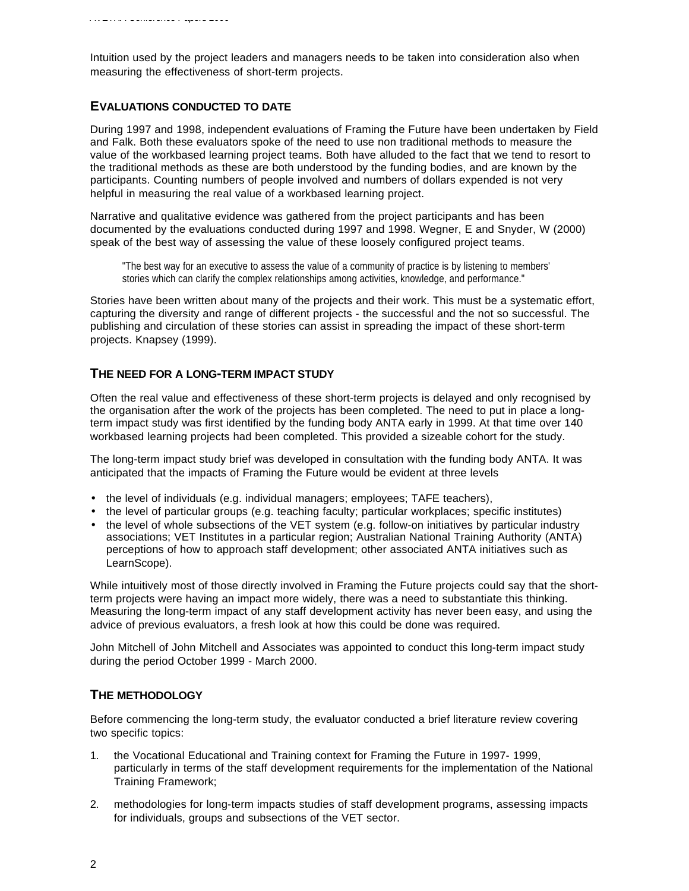Intuition used by the project leaders and managers needs to be taken into consideration also when measuring the effectiveness of short-term projects.

#### **EVALUATIONS CONDUCTED TO DATE**

During 1997 and 1998, independent evaluations of Framing the Future have been undertaken by Field and Falk. Both these evaluators spoke of the need to use non traditional methods to measure the value of the workbased learning project teams. Both have alluded to the fact that we tend to resort to the traditional methods as these are both understood by the funding bodies, and are known by the participants. Counting numbers of people involved and numbers of dollars expended is not very helpful in measuring the real value of a workbased learning project.

Narrative and qualitative evidence was gathered from the project participants and has been documented by the evaluations conducted during 1997 and 1998. Wegner, E and Snyder, W (2000) speak of the best way of assessing the value of these loosely configured project teams.

"The best way for an executive to assess the value of a community of practice is by listening to members' stories which can clarify the complex relationships among activities, knowledge, and performance."

Stories have been written about many of the projects and their work. This must be a systematic effort, capturing the diversity and range of different projects - the successful and the not so successful. The publishing and circulation of these stories can assist in spreading the impact of these short-term projects. Knapsey (1999).

#### **THE NEED FOR A LONG-TERM IMPACT STUDY**

Often the real value and effectiveness of these short-term projects is delayed and only recognised by the organisation after the work of the projects has been completed. The need to put in place a longterm impact study was first identified by the funding body ANTA early in 1999. At that time over 140 workbased learning projects had been completed. This provided a sizeable cohort for the study.

The long-term impact study brief was developed in consultation with the funding body ANTA. It was anticipated that the impacts of Framing the Future would be evident at three levels

- the level of individuals (e.g. individual managers; employees; TAFE teachers),
- the level of particular groups (e.g. teaching faculty; particular workplaces; specific institutes)
- the level of whole subsections of the VET system (e.g. follow-on initiatives by particular industry associations; VET Institutes in a particular region; Australian National Training Authority (ANTA) perceptions of how to approach staff development; other associated ANTA initiatives such as LearnScope).

While intuitively most of those directly involved in Framing the Future projects could say that the shortterm projects were having an impact more widely, there was a need to substantiate this thinking. Measuring the long-term impact of any staff development activity has never been easy, and using the advice of previous evaluators, a fresh look at how this could be done was required.

John Mitchell of John Mitchell and Associates was appointed to conduct this long-term impact study during the period October 1999 - March 2000.

## **THE METHODOLOGY**

Before commencing the long-term study, the evaluator conducted a brief literature review covering two specific topics:

- 1. the Vocational Educational and Training context for Framing the Future in 1997- 1999, particularly in terms of the staff development requirements for the implementation of the National Training Framework;
- 2. methodologies for long-term impacts studies of staff development programs, assessing impacts for individuals, groups and subsections of the VET sector.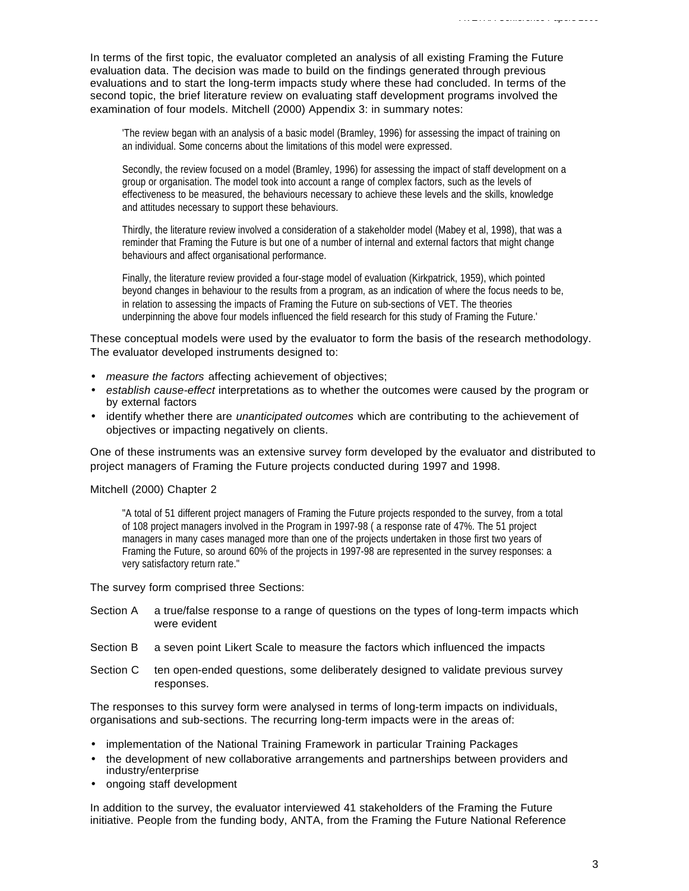In terms of the first topic, the evaluator completed an analysis of all existing Framing the Future evaluation data. The decision was made to build on the findings generated through previous evaluations and to start the long-term impacts study where these had concluded. In terms of the second topic, the brief literature review on evaluating staff development programs involved the examination of four models. Mitchell (2000) Appendix 3: in summary notes:

'The review began with an analysis of a basic model (Bramley, 1996) for assessing the impact of training on an individual. Some concerns about the limitations of this model were expressed.

Secondly, the review focused on a model (Bramley, 1996) for assessing the impact of staff development on a group or organisation. The model took into account a range of complex factors, such as the levels of effectiveness to be measured, the behaviours necessary to achieve these levels and the skills, knowledge and attitudes necessary to support these behaviours.

Thirdly, the literature review involved a consideration of a stakeholder model (Mabey et al, 1998), that was a reminder that Framing the Future is but one of a number of internal and external factors that might change behaviours and affect organisational performance.

Finally, the literature review provided a four-stage model of evaluation (Kirkpatrick, 1959), which pointed beyond changes in behaviour to the results from a program, as an indication of where the focus needs to be, in relation to assessing the impacts of Framing the Future on sub-sections of VET. The theories underpinning the above four models influenced the field research for this study of Framing the Future.'

These conceptual models were used by the evaluator to form the basis of the research methodology. The evaluator developed instruments designed to:

- *measure the factors* affecting achievement of objectives;
- *establish cause-effect* interpretations as to whether the outcomes were caused by the program or by external factors
- identify whether there are *unanticipated outcomes* which are contributing to the achievement of objectives or impacting negatively on clients.

One of these instruments was an extensive survey form developed by the evaluator and distributed to project managers of Framing the Future projects conducted during 1997 and 1998.

#### Mitchell (2000) Chapter 2

"A total of 51 different project managers of Framing the Future projects responded to the survey, from a total of 108 project managers involved in the Program in 1997-98 ( a response rate of 47%. The 51 project managers in many cases managed more than one of the projects undertaken in those first two years of Framing the Future, so around 60% of the projects in 1997-98 are represented in the survey responses: a very satisfactory return rate."

#### The survey form comprised three Sections:

- Section A a true/false response to a range of questions on the types of long-term impacts which were evident
- Section B a seven point Likert Scale to measure the factors which influenced the impacts
- Section C ten open-ended questions, some deliberately designed to validate previous survey responses.

The responses to this survey form were analysed in terms of long-term impacts on individuals, organisations and sub-sections. The recurring long-term impacts were in the areas of:

- implementation of the National Training Framework in particular Training Packages
- the development of new collaborative arrangements and partnerships between providers and industry/enterprise
- ongoing staff development

In addition to the survey, the evaluator interviewed 41 stakeholders of the Framing the Future initiative. People from the funding body, ANTA, from the Framing the Future National Reference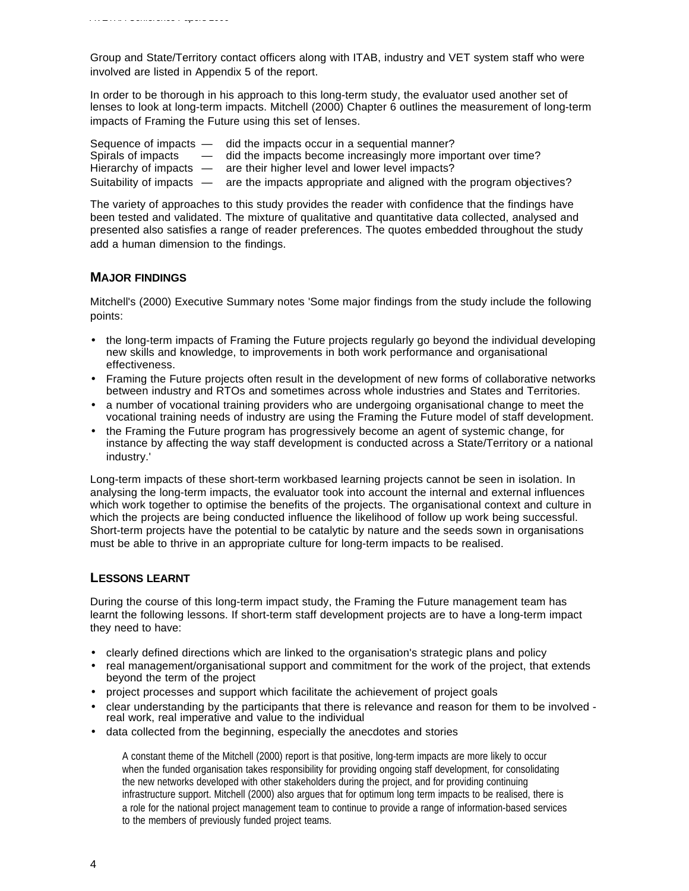Group and State/Territory contact officers along with ITAB, industry and VET system staff who were involved are listed in Appendix 5 of the report.

In order to be thorough in his approach to this long-term study, the evaluator used another set of lenses to look at long-term impacts. Mitchell (2000) Chapter 6 outlines the measurement of long-term impacts of Framing the Future using this set of lenses.

Sequence of impacts — did the impacts occur in a sequential manner?<br>Spirals of impacts — did the impacts become increasingly more imp  $-$  did the impacts become increasingly more important over time? Hierarchy of impacts — are their higher level and lower level impacts? Suitability of impacts — are the impacts appropriate and aligned with the program objectives?

The variety of approaches to this study provides the reader with confidence that the findings have been tested and validated. The mixture of qualitative and quantitative data collected, analysed and presented also satisfies a range of reader preferences. The quotes embedded throughout the study add a human dimension to the findings.

### **MAJOR FINDINGS**

Mitchell's (2000) Executive Summary notes 'Some major findings from the study include the following points:

- the long-term impacts of Framing the Future projects regularly go beyond the individual developing new skills and knowledge, to improvements in both work performance and organisational effectiveness.
- Framing the Future projects often result in the development of new forms of collaborative networks between industry and RTOs and sometimes across whole industries and States and Territories.
- a number of vocational training providers who are undergoing organisational change to meet the vocational training needs of industry are using the Framing the Future model of staff development.
- the Framing the Future program has progressively become an agent of systemic change, for instance by affecting the way staff development is conducted across a State/Territory or a national industry.'

Long-term impacts of these short-term workbased learning projects cannot be seen in isolation. In analysing the long-term impacts, the evaluator took into account the internal and external influences which work together to optimise the benefits of the projects. The organisational context and culture in which the projects are being conducted influence the likelihood of follow up work being successful. Short-term projects have the potential to be catalytic by nature and the seeds sown in organisations must be able to thrive in an appropriate culture for long-term impacts to be realised.

### **LESSONS LEARNT**

During the course of this long-term impact study, the Framing the Future management team has learnt the following lessons. If short-term staff development projects are to have a long-term impact they need to have:

- clearly defined directions which are linked to the organisation's strategic plans and policy
- real management/organisational support and commitment for the work of the project, that extends beyond the term of the project
- project processes and support which facilitate the achievement of project goals
- clear understanding by the participants that there is relevance and reason for them to be involved real work, real imperative and value to the individual
- data collected from the beginning, especially the anecdotes and stories

A constant theme of the Mitchell (2000) report is that positive, long-term impacts are more likely to occur when the funded organisation takes responsibility for providing ongoing staff development, for consolidating the new networks developed with other stakeholders during the project, and for providing continuing infrastructure support. Mitchell (2000) also argues that for optimum long term impacts to be realised, there is a role for the national project management team to continue to provide a range of information-based services to the members of previously funded project teams.